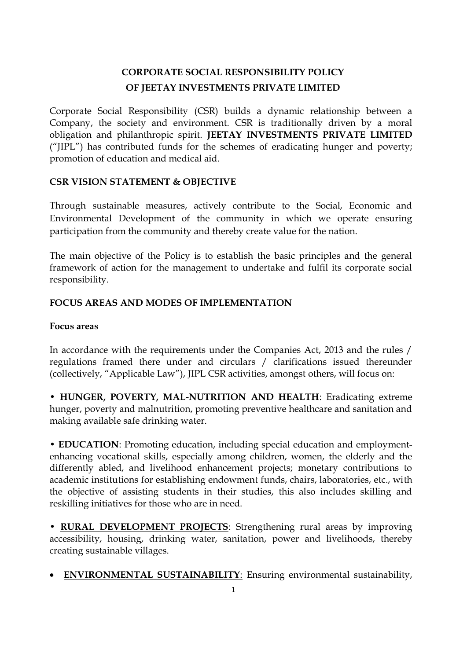# **CORPORATE SOCIAL RESPONSIBILITY POLICY OF JEETAY INVESTMENTS PRIVATE LIMITED**

Corporate Social Responsibility (CSR) builds a dynamic relationship between a Company, the society and environment. CSR is traditionally driven by a moral obligation and philanthropic spirit. **JEETAY INVESTMENTS PRIVATE LIMITED** ("JIPL") has contributed funds for the schemes of eradicating hunger and poverty; promotion of education and medical aid.

# **CSR VISION STATEMENT & OBJECTIVE**

Through sustainable measures, actively contribute to the Social, Economic and Environmental Development of the community in which we operate ensuring participation from the community and thereby create value for the nation.

The main objective of the Policy is to establish the basic principles and the general framework of action for the management to undertake and fulfil its corporate social responsibility.

# **FOCUS AREAS AND MODES OF IMPLEMENTATION**

# **Focus areas**

In accordance with the requirements under the Companies Act, 2013 and the rules / regulations framed there under and circulars / clarifications issued thereunder (collectively, "Applicable Law"), JIPL CSR activities, amongst others, will focus on:

• **HUNGER, POVERTY, MAL-NUTRITION AND HEALTH**: Eradicating extreme hunger, poverty and malnutrition, promoting preventive healthcare and sanitation and making available safe drinking water.

• **EDUCATION**: Promoting education, including special education and employmentenhancing vocational skills, especially among children, women, the elderly and the differently abled, and livelihood enhancement projects; monetary contributions to academic institutions for establishing endowment funds, chairs, laboratories, etc., with the objective of assisting students in their studies, this also includes skilling and reskilling initiatives for those who are in need.

• **RURAL DEVELOPMENT PROJECTS**: Strengthening rural areas by improving accessibility, housing, drinking water, sanitation, power and livelihoods, thereby creating sustainable villages.

**ENVIRONMENTAL SUSTAINABILITY**: Ensuring environmental sustainability,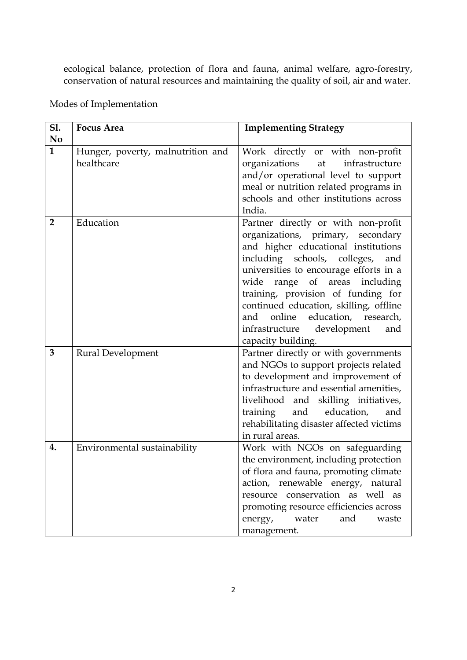ecological balance, protection of flora and fauna, animal welfare, agro-forestry, conservation of natural resources and maintaining the quality of soil, air and water.

| <b>S1.</b>     | <b>Focus Area</b>                 | <b>Implementing Strategy</b>             |
|----------------|-----------------------------------|------------------------------------------|
| N <sub>0</sub> |                                   |                                          |
| $\mathbf{1}$   | Hunger, poverty, malnutrition and | Work directly or with non-profit         |
|                | healthcare                        | organizations<br>infrastructure<br>at    |
|                |                                   | and/or operational level to support      |
|                |                                   | meal or nutrition related programs in    |
|                |                                   | schools and other institutions across    |
|                |                                   | India.                                   |
| $\overline{2}$ | Education                         | Partner directly or with non-profit      |
|                |                                   | organizations, primary, secondary        |
|                |                                   | and higher educational institutions      |
|                |                                   | including schools, colleges,<br>and      |
|                |                                   | universities to encourage efforts in a   |
|                |                                   | range of areas<br>including<br>wide      |
|                |                                   | training, provision of funding for       |
|                |                                   | continued education, skilling, offline   |
|                |                                   | online education, research,<br>and       |
|                |                                   | infrastructure<br>development<br>and     |
|                |                                   | capacity building.                       |
| 3              | Rural Development                 | Partner directly or with governments     |
|                |                                   | and NGOs to support projects related     |
|                |                                   | to development and improvement of        |
|                |                                   | infrastructure and essential amenities,  |
|                |                                   | livelihood and skilling initiatives,     |
|                |                                   | training<br>and education,<br>and        |
|                |                                   | rehabilitating disaster affected victims |
|                |                                   | in rural areas.                          |
| 4.             | Environmental sustainability      | Work with NGOs on safeguarding           |
|                |                                   | the environment, including protection    |
|                |                                   | of flora and fauna, promoting climate    |
|                |                                   | action, renewable energy, natural        |
|                |                                   | resource conservation as well as         |
|                |                                   | promoting resource efficiencies across   |
|                |                                   | energy, water<br>and<br>waste            |
|                |                                   | management.                              |

Modes of Implementation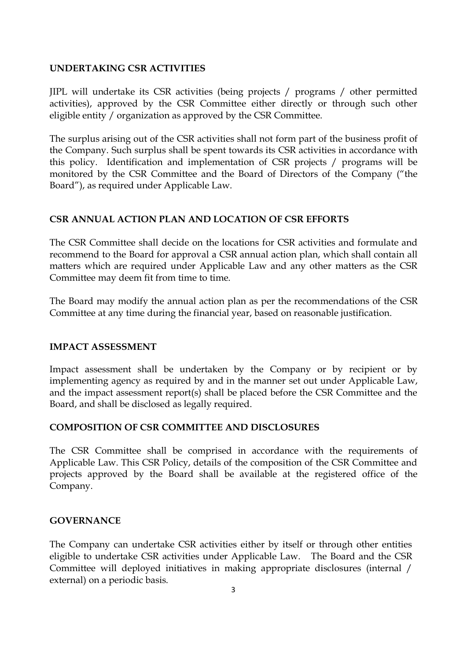#### **UNDERTAKING CSR ACTIVITIES**

JIPL will undertake its CSR activities (being projects / programs / other permitted activities), approved by the CSR Committee either directly or through such other eligible entity / organization as approved by the CSR Committee.

The surplus arising out of the CSR activities shall not form part of the business profit of the Company. Such surplus shall be spent towards its CSR activities in accordance with this policy. Identification and implementation of CSR projects / programs will be monitored by the CSR Committee and the Board of Directors of the Company ("the Board"), as required under Applicable Law.

#### **CSR ANNUAL ACTION PLAN AND LOCATION OF CSR EFFORTS**

The CSR Committee shall decide on the locations for CSR activities and formulate and recommend to the Board for approval a CSR annual action plan, which shall contain all matters which are required under Applicable Law and any other matters as the CSR Committee may deem fit from time to time.

The Board may modify the annual action plan as per the recommendations of the CSR Committee at any time during the financial year, based on reasonable justification.

#### **IMPACT ASSESSMENT**

Impact assessment shall be undertaken by the Company or by recipient or by implementing agency as required by and in the manner set out under Applicable Law, and the impact assessment report(s) shall be placed before the CSR Committee and the Board, and shall be disclosed as legally required.

# **COMPOSITION OF CSR COMMITTEE AND DISCLOSURES**

The CSR Committee shall be comprised in accordance with the requirements of Applicable Law. This CSR Policy, details of the composition of the CSR Committee and projects approved by the Board shall be available at the registered office of the Company.

#### **GOVERNANCE**

The Company can undertake CSR activities either by itself or through other entities eligible to undertake CSR activities under Applicable Law. The Board and the CSR Committee will deployed initiatives in making appropriate disclosures (internal / external) on a periodic basis.